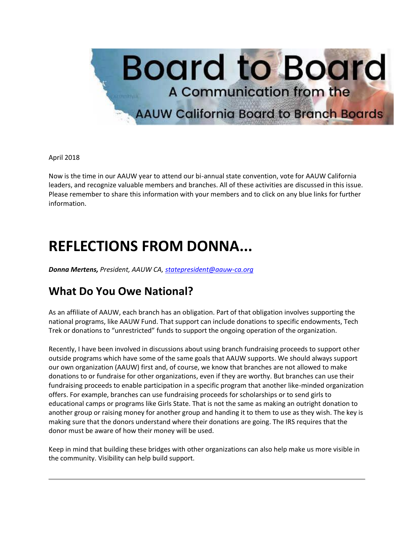

#### April 2018

Now is the time in our AAUW year to attend our bi-annual state convention, vote for AAUW California leaders, and recognize valuable members and branches. All of these activities are discussed in this issue. Please remember to share this information with your members and to click on any blue links for further information.

## **REFLECTIONS FROM DONNA...**

*Donna Mertens, President, AAUW CA, [statepresident@aauw-ca.org](mailto:statepresident@aauw-ca.org)*

### **What Do You Owe National?**

As an affiliate of AAUW, each branch has an obligation. Part of that obligation involves supporting the national programs, like AAUW Fund. That support can include donations to specific endowments, Tech Trek or donations to "unrestricted" funds to support the ongoing operation of the organization.

Recently, I have been involved in discussions about using branch fundraising proceeds to support other outside programs which have some of the same goals that AAUW supports. We should always support our own organization (AAUW) first and, of course, we know that branches are not allowed to make donations to or fundraise for other organizations, even if they are worthy. But branches can use their fundraising proceeds to enable participation in a specific program that another like-minded organization offers. For example, branches can use fundraising proceeds for scholarships or to send girls to educational camps or programs like Girls State. That is not the same as making an outright donation to another group or raising money for another group and handing it to them to use as they wish. The key is making sure that the donors understand where their donations are going. The IRS requires that the donor must be aware of how their money will be used.

Keep in mind that building these bridges with other organizations can also help make us more visible in the community. Visibility can help build support.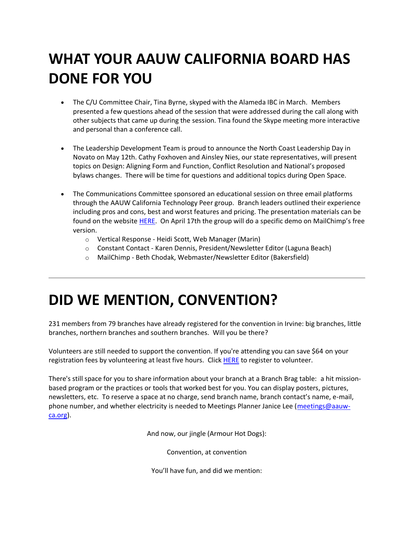# **WHAT YOUR AAUW CALIFORNIA BOARD HAS DONE FOR YOU**

- The C/U Committee Chair, Tina Byrne, skyped with the Alameda IBC in March. Members presented a few questions ahead of the session that were addressed during the call along with other subjects that came up during the session. Tina found the Skype meeting more interactive and personal than a conference call.
- The Leadership Development Team is proud to announce the North Coast Leadership Day in Novato on May 12th. Cathy Foxhoven and Ainsley Nies, our state representatives, will present topics on Design: Aligning Form and Function, Conflict Resolution and National's proposed bylaws changes. There will be time for questions and additional topics during Open Space.
- The Communications Committee sponsored an educational session on three email platforms through the AAUW California Technology Peer group. Branch leaders outlined their experience including pros and cons, best and worst features and pricing. The presentation materials can be found on the website [HERE.](https://bor.aauw-ca.org/sendy/l/YlrJ763AeyF892b51vFm0EptRw/8Wbw5Mf763OuGBXhqa8YFztw/9lNo5rFbGeA3ftl6wr6zrw) On April 17th the group will do a specific demo on MailChimp's free version.
	- o Vertical Response Heidi Scott, Web Manager (Marin)
	- o Constant Contact Karen Dennis, President/Newsletter Editor (Laguna Beach)
	- o MailChimp Beth Chodak, Webmaster/Newsletter Editor (Bakersfield)

## **DID WE MENTION, CONVENTION?**

231 members from 79 branches have already registered for the convention in Irvine: big branches, little branches, northern branches and southern branches. Will you be there?

Volunteers are still needed to support the convention. If you're attending you can save \$64 on your registration fees by volunteering at least five hours. Click [HERE](https://bor.aauw-ca.org/sendy/l/YlrJ763AeyF892b51vFm0EptRw/ssFEDf5pezuYnzMKUEjkyg/9lNo5rFbGeA3ftl6wr6zrw) to register to volunteer.

There's still space for you to share information about your branch at a Branch Brag table: a hit missionbased program or the practices or tools that worked best for you. You can display posters, pictures, newsletters, etc. To reserve a space at no charge, send branch name, branch contact's name, e-mail, phone number, and whether electricity is needed to Meetings Planner Janice Lee [\(meetings@aauw](mailto:meetings@aauw-ca.org)[ca.org\)](mailto:meetings@aauw-ca.org).

And now, our jingle (Armour Hot Dogs):

Convention, at convention

You'll have fun, and did we mention: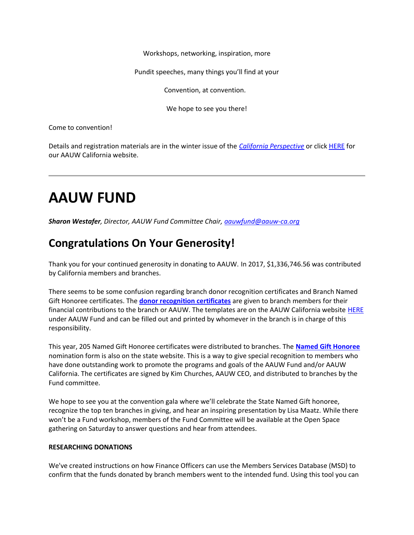Workshops, networking, inspiration, more

Pundit speeches, many things you'll find at your

Convention, at convention.

We hope to see you there!

Come to convention!

Details and registration materials are in the winter issue of the *[California Perspective](https://bor.aauw-ca.org/sendy/l/YlrJ763AeyF892b51vFm0EptRw/UFs5INKzR3TFWyEj17f8pg/9lNo5rFbGeA3ftl6wr6zrw)* or clic[k HERE](https://bor.aauw-ca.org/sendy/l/YlrJ763AeyF892b51vFm0EptRw/763r1J2gZANuKiB0RPHIh4eg/9lNo5rFbGeA3ftl6wr6zrw) for our AAUW California website.

# **AAUW FUND**

*Sharon Westafer, Director, AAUW Fund Committee Chair, [aauwfund@aauw-ca.org](mailto:aauwfund@aauw-ca.org)*

### **Congratulations On Your Generosity!**

Thank you for your continued generosity in donating to AAUW. In 2017, \$1,336,746.56 was contributed by California members and branches.

There seems to be some confusion regarding branch donor recognition certificates and Branch Named Gift Honoree certificates. The **[donor recognition certificates](https://bor.aauw-ca.org/sendy/l/YlrJ763AeyF892b51vFm0EptRw/Z6sA6Bnvqyl4THZX3nCL2w/9lNo5rFbGeA3ftl6wr6zrw)** are given to branch members for their financial contributions to the branch or AAUW. The templates are on the AAUW California website [HERE](https://bor.aauw-ca.org/sendy/l/YlrJ763AeyF892b51vFm0EptRw/Z6sA6Bnvqyl4THZX3nCL2w/9lNo5rFbGeA3ftl6wr6zrw) under AAUW Fund and can be filled out and printed by whomever in the branch is in charge of this responsibility.

This year, 205 Named Gift Honoree certificates were distributed to branches. The **[Named Gift Honoree](https://bor.aauw-ca.org/sendy/l/YlrJ763AeyF892b51vFm0EptRw/j0G8pCVX3FI8Po763Ps892763lDg/9lNo5rFbGeA3ftl6wr6zrw)** nomination form is also on the state website. This is a way to give special recognition to members who have done outstanding work to promote the programs and goals of the AAUW Fund and/or AAUW California. The certificates are signed by Kim Churches, AAUW CEO, and distributed to branches by the Fund committee.

We hope to see you at the convention gala where we'll celebrate the State Named Gift honoree, recognize the top ten branches in giving, and hear an inspiring presentation by Lisa Maatz. While there won't be a Fund workshop, members of the Fund Committee will be available at the Open Space gathering on Saturday to answer questions and hear from attendees.

#### **RESEARCHING DONATIONS**

We've created instructions on how Finance Officers can use the Members Services Database (MSD) to confirm that the funds donated by branch members went to the intended fund. Using this tool you can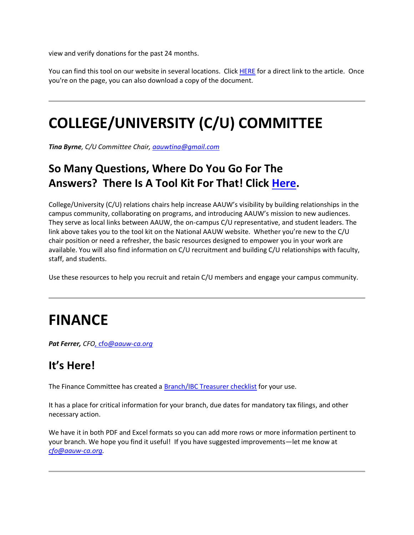view and verify donations for the past 24 months.

You can find this tool on our website in several locations. Click [HERE](https://bor.aauw-ca.org/sendy/l/YlrJ763AeyF892b51vFm0EptRw/ZDfWapOym0HeG74B3Nh0Nw/9lNo5rFbGeA3ftl6wr6zrw) for a direct link to the article. Once you're on the page, you can also download a copy of the document.

# **COLLEGE/UNIVERSITY (C/U) COMMITTEE**

*Tina Byrne, C/U Committee Chair[, aauwtina@gmail.com](mailto:aauwtina@gmail.com)*

## **So Many Questions, Where Do You Go For The Answers? There Is A Tool Kit For That! Click [Here.](https://bor.aauw-ca.org/sendy/l/YlrJ763AeyF892b51vFm0EptRw/rNesKfzR9RmUe9pKYC26sQ/9lNo5rFbGeA3ftl6wr6zrw)**

College/University (C/U) relations chairs help increase AAUW's visibility by building relationships in the campus community, collaborating on programs, and introducing AAUW's mission to new audiences. They serve as local links between AAUW, the on-campus C/U representative, and student leaders. The link above takes you to the tool kit on the National AAUW website. Whether you're new to the C/U chair position or need a refresher, the basic resources designed to empower you in your work are available. You will also find information on C/U recruitment and building C/U relationships with faculty, staff, and students.

Use these resources to help you recruit and retain C/U members and engage your campus community.

## **FINANCE**

*Pat Ferrer, CFO,* cfo*[@aauw-ca.org](https://bor.aauw-ca.org/sendy/l/YlrJ763AeyF892b51vFm0EptRw/vkaOJfe89u55FFaYwpa0vg/9lNo5rFbGeA3ftl6wr6zrw)*

### **It's Here!**

The Finance Committee has created a **Branch/IBC Treasurer checklist** for your use.

It has a place for critical information for your branch, due dates for mandatory tax filings, and other necessary action.

We have it in both PDF and Excel formats so you can add more rows or more information pertinent to your branch. We hope you find it useful! If you have suggested improvements—let me know at *[cfo@aauw-ca.org.](mailto:cfo@aauw-ca.org)*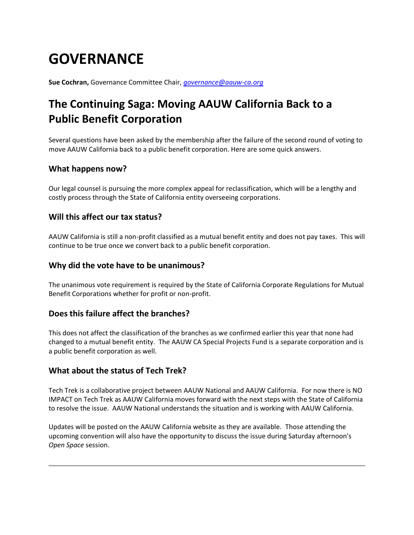# **GOVERNANCE**

**Sue Cochran,** Governance Committee Chair, *[governance@aauw-ca.org](mailto:governance@aauw-ca.org)*

## **The Continuing Saga: Moving AAUW California Back to a Public Benefit Corporation**

Several questions have been asked by the membership after the failure of the second round of voting to move AAUW California back to a public benefit corporation. Here are some quick answers.

#### **What happens now?**

Our legal counsel is pursuing the more complex appeal for reclassification, which will be a lengthy and costly process through the State of California entity overseeing corporations.

#### **Will this affect our tax status?**

AAUW California is still a non-profit classified as a mutual benefit entity and does not pay taxes. This will continue to be true once we convert back to a public benefit corporation.

#### **Why did the vote have to be unanimous?**

The unanimous vote requirement is required by the State of California Corporate Regulations for Mutual Benefit Corporations whether for profit or non-profit.

#### **Does this failure affect the branches?**

This does not affect the classification of the branches as we confirmed earlier this year that none had changed to a mutual benefit entity. The AAUW CA Special Projects Fund is a separate corporation and is a public benefit corporation as well.

#### **What about the status of Tech Trek?**

Tech Trek is a collaborative project between AAUW National and AAUW California. For now there is NO IMPACT on Tech Trek as AAUW California moves forward with the next steps with the State of California to resolve the issue. AAUW National understands the situation and is working with AAUW California.

Updates will be posted on the AAUW California website as they are available. Those attending the upcoming convention will also have the opportunity to discuss the issue during Saturday afternoon's *Open Space* session.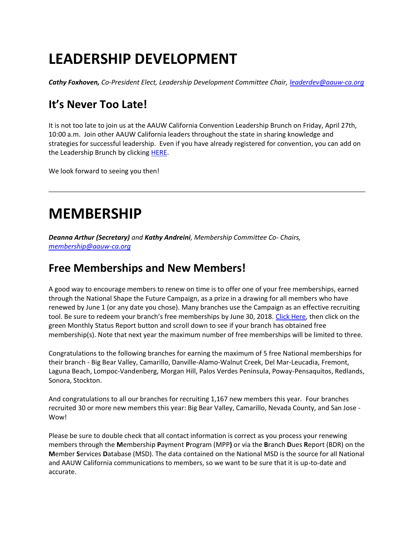# **LEADERSHIP DEVELOPMENT**

*Cathy Foxhoven, Co-President Elect, Leadership Development Committee Chair, [leaderdev@aauw-ca.org](mailto:leaderdev@aauw-ca.org)*

## **It's Never Too Late!**

It is not too late to join us at the AAUW California Convention Leadership Brunch on Friday, April 27th, 10:00 a.m. Join other AAUW California leaders throughout the state in sharing knowledge and strategies for successful leadership. Even if you have already registered for convention, you can add on the Leadership Brunch by clickin[g HERE.](https://bor.aauw-ca.org/sendy/l/YlrJ763AeyF892b51vFm0EptRw/ZhmWijGLm5pNT2dLASSVqQ/9lNo5rFbGeA3ftl6wr6zrw)

We look forward to seeing you then!

## **MEMBERSHIP**

*Deanna Arthur (Secretary) and Kathy Andreini, Membership Committee Co- Chairs, [membership@aauw-ca.org](mailto:membership@aauw-ca.org)*

### **Free Memberships and New Members!**

A good way to encourage members to renew on time is to offer one of your free memberships, earned through the National Shape the Future Campaign, as a prize in a drawing for all members who have renewed by June 1 (or any date you chose). Many branches use the Campaign as an effective recruiting tool. Be sure to redeem your branch's free memberships by June 30, 2018. [Click Here,](https://bor.aauw-ca.org/sendy/l/YlrJ763AeyF892b51vFm0EptRw/SfTg920eUHh4Qm6S8Ff6tw/9lNo5rFbGeA3ftl6wr6zrw) then click on the green Monthly Status Report button and scroll down to see if your branch has obtained free membership(s). Note that next year the maximum number of free memberships will be limited to three.

Congratulations to the following branches for earning the maximum of 5 free National memberships for their branch - Big Bear Valley, Camarillo, Danville-Alamo-Walnut Creek, Del Mar-Leucadia, Fremont, Laguna Beach, Lompoc-Vandenberg, Morgan Hill, Palos Verdes Peninsula, Poway-Pensaquitos, Redlands, Sonora, Stockton.

And congratulations to all our branches for recruiting 1,167 new members this year. Four branches recruited 30 or more new members this year: Big Bear Valley, Camarillo, Nevada County, and San Jose - Wow!

Please be sure to double check that all contact information is correct as you process your renewing members through the **M**embership **P**ayment **P**rogram (MPP**)** or via the **B**ranch **D**ues **R**eport (BDR) on the **M**ember **S**ervices **D**atabase (MSD). The data contained on the National MSD is the source for all National and AAUW California communications to members, so we want to be sure that it is up-to-date and accurate.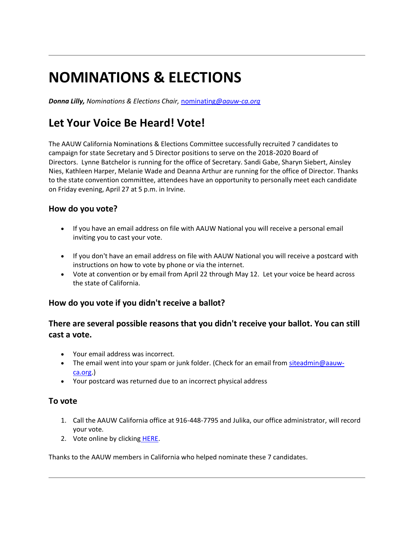# **NOMINATIONS & ELECTIONS**

*Donna Lilly, Nominations & Elections Chair,* nominating*[@aauw-ca.org](mailto:nominating@aauw-ca.org)*

## **Let Your Voice Be Heard! Vote!**

The AAUW California Nominations & Elections Committee successfully recruited 7 candidates to campaign for state Secretary and 5 Director positions to serve on the 2018-2020 Board of Directors. Lynne Batchelor is running for the office of Secretary. Sandi Gabe, Sharyn Siebert, Ainsley Nies, Kathleen Harper, Melanie Wade and Deanna Arthur are running for the office of Director. Thanks to the state convention committee, attendees have an opportunity to personally meet each candidate on Friday evening, April 27 at 5 p.m. in Irvine.

#### **How do you vote?**

- If you have an email address on file with AAUW National you will receive a personal email inviting you to cast your vote.
- If you don't have an email address on file with AAUW National you will receive a postcard with instructions on how to vote by phone or via the internet.
- Vote at convention or by email from April 22 through May 12. Let your voice be heard across the state of California.

#### **How do you vote if you didn't receive a ballot?**

#### **There are several possible reasons that you didn't receive your ballot. You can still cast a vote.**

- Your email address was incorrect.
- The email went into your spam or junk folder. (Check for an email from [siteadmin@aauw](mailto:siteadmin@aauw-ca.org)[ca.org.](mailto:siteadmin@aauw-ca.org))
- Your postcard was returned due to an incorrect physical address

#### **To vote**

- 1. Call the AAUW California office at 916-448-7795 and Julika, our office administrator, will record your vote.
- 2. Vote online by clicking [HERE.](https://bor.aauw-ca.org/sendy/l/YlrJ763AeyF892b51vFm0EptRw/tEC1ExILy6iLeuDbPM60FA/9lNo5rFbGeA3ftl6wr6zrw)

Thanks to the AAUW members in California who helped nominate these 7 candidates.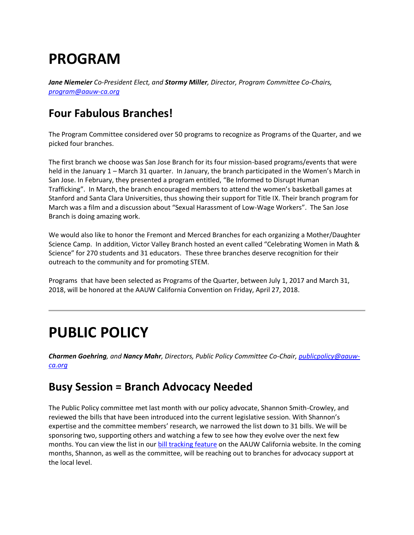## **PROGRAM**

*Jane Niemeier Co-President Elect, and Stormy Miller, Director, Program Committee Co-Chairs, [program@aauw-ca.org](mailto:program@aauw-ca.org)*

### **Four Fabulous Branches!**

The Program Committee considered over 50 programs to recognize as Programs of the Quarter, and we picked four branches.

The first branch we choose was San Jose Branch for its four mission-based programs/events that were held in the January 1 – March 31 quarter. In January, the branch participated in the Women's March in San Jose. In February, they presented a program entitled, "Be Informed to Disrupt Human Trafficking". In March, the branch encouraged members to attend the women's basketball games at Stanford and Santa Clara Universities, thus showing their support for Title IX. Their branch program for March was a film and a discussion about "Sexual Harassment of Low-Wage Workers". The San Jose Branch is doing amazing work.

We would also like to honor the Fremont and Merced Branches for each organizing a Mother/Daughter Science Camp. In addition, Victor Valley Branch hosted an event called "Celebrating Women in Math & Science" for 270 students and 31 educators. These three branches deserve recognition for their outreach to the community and for promoting STEM.

Programs that have been selected as Programs of the Quarter, between July 1, 2017 and March 31, 2018, will be honored at the AAUW California Convention on Friday, April 27, 2018.

## **PUBLIC POLICY**

*Charmen Goehring, and Nancy Mahr, Directors, Public Policy Committee Co-Chair, [publicpolicy@aauw](mailto:PublicPolicy@aauw-ca.org)[ca.org](mailto:PublicPolicy@aauw-ca.org)*

### **Busy Session = Branch Advocacy Needed**

The Public Policy committee met last month with our policy advocate, Shannon Smith-Crowley, and reviewed the bills that have been introduced into the current legislative session. With Shannon's expertise and the committee members' research, we narrowed the list down to 31 bills. We will be sponsoring two, supporting others and watching a few to see how they evolve over the next few months. You can view the list in our **bill tracking feature** on the AAUW California website. In the coming months, Shannon, as well as the committee, will be reaching out to branches for advocacy support at the local level.